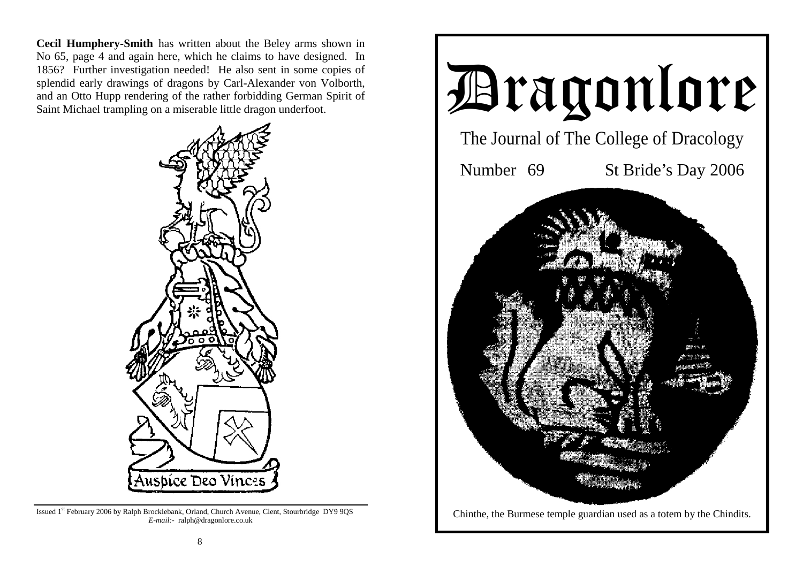**Cecil Humphery-Smith** has written about the Beley arms shown in No 65, page 4 and again here, which he claims to have designed. In 1856? Further investigation needed! He also sent in some copies of splendid early drawings of dragons by Carl-Alexander von Volborth, and an Otto Hupp rendering of the rather forbidding German Spirit of Saint Michael trampling on a miserable little dragon underfoot.



Issued 1st February 2006 by Ralph Brocklebank, Orland, Church Avenue, Clent, Stourbridge DY9 9QS *E-mail:-* ralph@dragonlore.co.uk

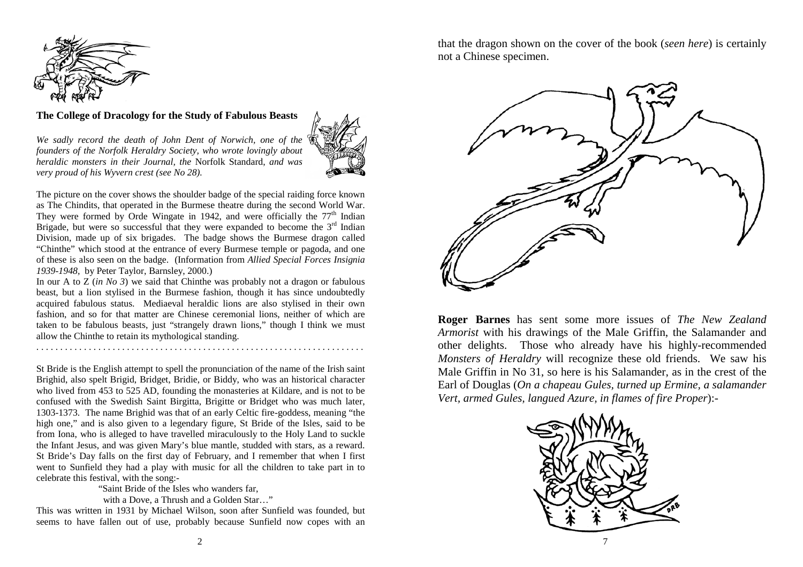

### **The College of Dracology for the Study of Fabulous Beasts**

*We sadly record the death of John Dent of Norwich, one of the founders of the Norfolk Heraldry Society, who wrote lovingly about heraldic monsters in their Journal, the* Norfolk Standard, *and was very proud of his Wyvern crest (see No 28).* 



The picture on the cover shows the shoulder badge of the special raiding force known as The Chindits, that operated in the Burmese theatre during the second World War. They were formed by Orde Wingate in 1942, and were officially the  $77<sup>th</sup>$  Indian Brigade, but were so successful that they were expanded to become the  $3<sup>rd</sup>$  Indian Division, made up of six brigades. The badge shows the Burmese dragon called "Chinthe" which stood at the entrance of every Burmese temple or pagoda, and one of these is also seen on the badge. (Information from *Allied Special Forces Insignia 1939-1948,* by Peter Taylor, Barnsley, 2000.)

In our A to Z (*in No 3*) we said that Chinthe was probably not a dragon or fabulous beast, but a lion stylised in the Burmese fashion, though it has since undoubtedly acquired fabulous status. Mediaeval heraldic lions are also stylised in their own fashion, and so for that matter are Chinese ceremonial lions, neither of which are taken to be fabulous beasts, just "strangely drawn lions," though I think we must allow the Chinthe to retain its mythological standing.

. . . . . . . . . . . . . . . . . . . . . . . . . . . . . . . . . . . . . . . . . . . . . . . . . . . . . . . . . . . . . . . . . . . . .

St Bride is the English attempt to spell the pronunciation of the name of the Irish saint Brighid, also spelt Brigid, Bridget, Bridie, or Biddy, who was an historical character who lived from 453 to 525 AD, founding the monasteries at Kildare, and is not to be confused with the Swedish Saint Birgitta, Brigitte or Bridget who was much later, 1303-1373. The name Brighid was that of an early Celtic fire-goddess, meaning "the high one," and is also given to a legendary figure, St Bride of the Isles, said to be from Iona, who is alleged to have travelled miraculously to the Holy Land to suckle the Infant Jesus, and was given Mary's blue mantle, studded with stars, as a reward. St Bride's Day falls on the first day of February, and I remember that when I first went to Sunfield they had a play with music for all the children to take part in to celebrate this festival, with the song:-

"Saint Bride of the Isles who wanders far,

with a Dove, a Thrush and a Golden Star…"

This was written in 1931 by Michael Wilson, soon after Sunfield was founded, but seems to have fallen out of use, probably because Sunfield now copes with an

that the dragon shown on the cover of the book (*seen here*) is certainly not a Chinese specimen.



**Roger Barnes** has sent some more issues of *The New Zealand Armorist* with his drawings of the Male Griffin, the Salamander and other delights. Those who already have his highly-recommended *Monsters of Heraldry* will recognize these old friends. We saw his Male Griffin in No 31, so here is his Salamander, as in the crest of the Earl of Douglas (*On a chapeau Gules, turned up Ermine, a salamander Vert, armed Gules, langued Azure, in flames of fire Proper*):-

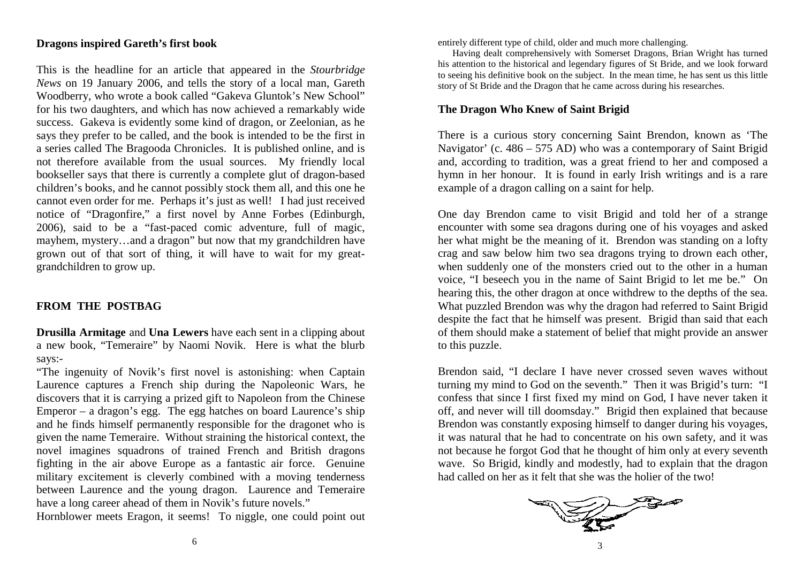### **Dragons inspired Gareth's first book**

This is the headline for an article that appeared in the *Stourbridge News* on 19 January 2006, and tells the story of a local man, Gareth Woodberry, who wrote a book called "Gakeva Gluntok's New School" for his two daughters, and which has now achieved a remarkably wide success. Gakeva is evidently some kind of dragon, or Zeelonian, as he says they prefer to be called, and the book is intended to be the first in a series called The Bragooda Chronicles. It is published online, and is not therefore available from the usual sources. My friendly local bookseller says that there is currently a complete glut of dragon-based children's books, and he cannot possibly stock them all, and this one he cannot even order for me. Perhaps it's just as well! I had just received notice of "Dragonfire," a first novel by Anne Forbes (Edinburgh, 2006), said to be a "fast-paced comic adventure, full of magic, mayhem, mystery…and a dragon" but now that my grandchildren have grown out of that sort of thing, it will have to wait for my greatgrandchildren to grow up.

# **FROM THE POSTBAG**

**Drusilla Armitage** and **Una Lewers** have each sent in a clipping about a new book, "Temeraire" by Naomi Novik. Here is what the blurb says:-

"The ingenuity of Novik's first novel is astonishing: when Captain Laurence captures a French ship during the Napoleonic Wars, he discovers that it is carrying a prized gift to Napoleon from the Chinese Emperor – a dragon's egg. The egg hatches on board Laurence's ship and he finds himself permanently responsible for the dragonet who is given the name Temeraire. Without straining the historical context, the novel imagines squadrons of trained French and British dragons fighting in the air above Europe as a fantastic air force. Genuine military excitement is cleverly combined with a moving tenderness between Laurence and the young dragon. Laurence and Temeraire have a long career ahead of them in Novik's future novels."

Hornblower meets Eragon, it seems! To niggle, one could point out

entirely different type of child, older and much more challenging.

 Having dealt comprehensively with Somerset Dragons, Brian Wright has turned his attention to the historical and legendary figures of St Bride, and we look forward to seeing his definitive book on the subject. In the mean time, he has sent us this little story of St Bride and the Dragon that he came across during his researches.

## **The Dragon Who Knew of Saint Brigid**

There is a curious story concerning Saint Brendon, known as 'The Navigator' (c. 486 – 575 AD) who was a contemporary of Saint Brigid and, according to tradition, was a great friend to her and composed a hymn in her honour. It is found in early Irish writings and is a rare example of a dragon calling on a saint for help.

One day Brendon came to visit Brigid and told her of a strange encounter with some sea dragons during one of his voyages and asked her what might be the meaning of it. Brendon was standing on a lofty crag and saw below him two sea dragons trying to drown each other, when suddenly one of the monsters cried out to the other in a human voice, "I beseech you in the name of Saint Brigid to let me be." On hearing this, the other dragon at once withdrew to the depths of the sea. What puzzled Brendon was why the dragon had referred to Saint Brigid despite the fact that he himself was present. Brigid than said that each of them should make a statement of belief that might provide an answer to this puzzle.

Brendon said, "I declare I have never crossed seven waves without turning my mind to God on the seventh." Then it was Brigid's turn: "I confess that since I first fixed my mind on God, I have never taken it off, and never will till doomsday." Brigid then explained that because Brendon was constantly exposing himself to danger during his voyages, it was natural that he had to concentrate on his own safety, and it was not because he forgot God that he thought of him only at every seventh wave. So Brigid, kindly and modestly, had to explain that the dragon had called on her as it felt that she was the holier of the two!